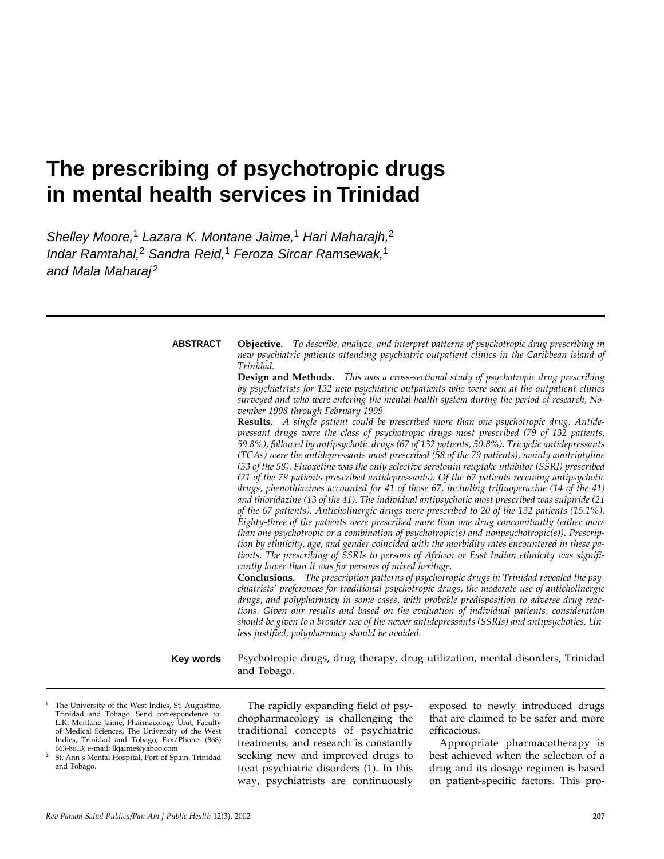# **The prescribing of psychotropic drugs in mental health services in Trinidad**

Shelley Moore,<sup>1</sup> Lazara K. Montane Jaime,<sup>1</sup> Hari Maharajh,<sup>2</sup> Indar Ramtahal,<sup>2</sup> Sandra Reid,<sup>1</sup> Feroza Sircar Ramsewak,<sup>1</sup> and Mala Maharaj<sup>2</sup>

**ABSTRACT**

**Objective.** *To describe, analyze, and interpret patterns of psychotropic drug prescribing in new psychiatric patients attending psychiatric outpatient clinics in the Caribbean island of Trinidad.* 

**Design and Methods.** *This was a cross-sectional study of psychotropic drug prescribing by psychiatrists for 132 new psychiatric outpatients who were seen at the outpatient clinics surveyed and who were entering the mental health system during the period of research, November 1998 through February 1999.*

**Results.** *A single patient could be prescribed more than one psychotropic drug. Antidepressant drugs were the class of psychotropic drugs most prescribed (79 of 132 patients, 59.8%), followed by antipsychotic drugs (67 of 132 patients, 50.8%). Tricyclic antidepressants (TCAs) were the antidepressants most prescribed (58 of the 79 patients), mainly amitriptyline (53 of the 58). Fluoxetine was the only selective serotonin reuptake inhibitor (SSRI) prescribed (21 of the 79 patients prescribed antidepressants). Of the 67 patients receiving antipsychotic drugs, phenothiazines accounted for 41 of those 67, including trifluoperazine (14 of the 41) and thioridazine (13 of the 41). The individual antipsychotic most prescribed was sulpiride (21 of the 67 patients). Anticholinergic drugs were prescribed to 20 of the 132 patients (15.1%). Eighty-three of the patients were prescribed more than one drug concomitantly (either more than one psychotropic or a combination of psychotropic(s) and nonpsychotropic(s)). Prescription by ethnicity, age, and gender coincided with the morbidity rates encountered in these patients. The prescribing of SSRIs to persons of African or East Indian ethnicity was significantly lower than it was for persons of mixed heritage.* 

**Conclusions.** *The prescription patterns of psychotropic drugs in Trinidad revealed the psychiatrists' preferences for traditional psychotropic drugs, the moderate use of anticholinergic drugs, and polypharmacy in some cases, with probable predisposition to adverse drug reactions. Given our results and based on the evaluation of individual patients, consideration should be given to a broader use of the newer antidepressants (SSRIs) and antipsychotics. Unless justified, polypharmacy should be avoided.*

**Key words**

Psychotropic drugs, drug therapy, drug utilization, mental disorders, Trinidad and Tobago.

- <sup>1</sup> The University of the West Indies, St. Augustine, Trinidad and Tobago. Send correspondence to: L.K. Montane Jaime, Pharmacology Unit, Faculty of Medical Sciences, The University of the West Indies, Trinidad and Tobago; Fax/Phone: (868) 663-8613; e-mail: lkjaime@yahoo.com
- <sup>2</sup> St. Ann's Mental Hospital, Port-of-Spain, Trinidad and Tobago.

The rapidly expanding field of psychopharmacology is challenging the traditional concepts of psychiatric treatments, and research is constantly seeking new and improved drugs to treat psychiatric disorders (1). In this way, psychiatrists are continuously exposed to newly introduced drugs that are claimed to be safer and more efficacious.

Appropriate pharmacotherapy is best achieved when the selection of a drug and its dosage regimen is based on patient-specific factors. This pro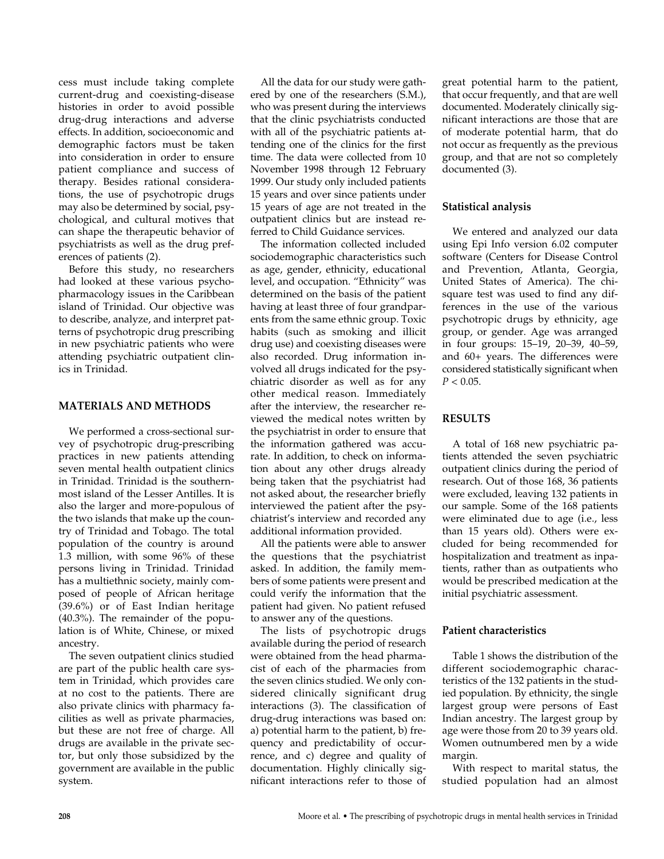cess must include taking complete current-drug and coexisting-disease histories in order to avoid possible drug-drug interactions and adverse effects. In addition, socioeconomic and demographic factors must be taken into consideration in order to ensure patient compliance and success of therapy. Besides rational considerations, the use of psychotropic drugs may also be determined by social, psychological, and cultural motives that can shape the therapeutic behavior of psychiatrists as well as the drug preferences of patients (2).

Before this study, no researchers had looked at these various psychopharmacology issues in the Caribbean island of Trinidad. Our objective was to describe, analyze, and interpret patterns of psychotropic drug prescribing in new psychiatric patients who were attending psychiatric outpatient clinics in Trinidad.

#### **MATERIALS AND METHODS**

We performed a cross-sectional survey of psychotropic drug-prescribing practices in new patients attending seven mental health outpatient clinics in Trinidad. Trinidad is the southernmost island of the Lesser Antilles. It is also the larger and more-populous of the two islands that make up the country of Trinidad and Tobago. The total population of the country is around 1.3 million, with some 96% of these persons living in Trinidad. Trinidad has a multiethnic society, mainly composed of people of African heritage (39.6%) or of East Indian heritage (40.3%). The remainder of the population is of White, Chinese, or mixed ancestry.

The seven outpatient clinics studied are part of the public health care system in Trinidad, which provides care at no cost to the patients. There are also private clinics with pharmacy facilities as well as private pharmacies, but these are not free of charge. All drugs are available in the private sector, but only those subsidized by the government are available in the public system.

All the data for our study were gathered by one of the researchers (S.M.), who was present during the interviews that the clinic psychiatrists conducted with all of the psychiatric patients attending one of the clinics for the first time. The data were collected from 10 November 1998 through 12 February 1999. Our study only included patients 15 years and over since patients under 15 years of age are not treated in the outpatient clinics but are instead referred to Child Guidance services.

The information collected included sociodemographic characteristics such as age, gender, ethnicity, educational level, and occupation. "Ethnicity" was determined on the basis of the patient having at least three of four grandparents from the same ethnic group. Toxic habits (such as smoking and illicit drug use) and coexisting diseases were also recorded. Drug information involved all drugs indicated for the psychiatric disorder as well as for any other medical reason. Immediately after the interview, the researcher reviewed the medical notes written by the psychiatrist in order to ensure that the information gathered was accurate. In addition, to check on information about any other drugs already being taken that the psychiatrist had not asked about, the researcher briefly interviewed the patient after the psychiatrist's interview and recorded any additional information provided.

All the patients were able to answer the questions that the psychiatrist asked. In addition, the family members of some patients were present and could verify the information that the patient had given. No patient refused to answer any of the questions.

The lists of psychotropic drugs available during the period of research were obtained from the head pharmacist of each of the pharmacies from the seven clinics studied. We only considered clinically significant drug interactions (3). The classification of drug-drug interactions was based on: a) potential harm to the patient, b) frequency and predictability of occurrence, and c) degree and quality of documentation. Highly clinically significant interactions refer to those of

great potential harm to the patient, that occur frequently, and that are well documented. Moderately clinically significant interactions are those that are of moderate potential harm, that do not occur as frequently as the previous group, and that are not so completely documented (3).

## **Statistical analysis**

We entered and analyzed our data using Epi Info version 6.02 computer software (Centers for Disease Control and Prevention, Atlanta, Georgia, United States of America). The chisquare test was used to find any differences in the use of the various psychotropic drugs by ethnicity, age group, or gender. Age was arranged in four groups: 15–19, 20–39, 40–59, and 60+ years. The differences were considered statistically significant when  $P < 0.05$ .

## **RESULTS**

A total of 168 new psychiatric patients attended the seven psychiatric outpatient clinics during the period of research. Out of those 168, 36 patients were excluded, leaving 132 patients in our sample. Some of the 168 patients were eliminated due to age (i.e., less than 15 years old). Others were excluded for being recommended for hospitalization and treatment as inpatients, rather than as outpatients who would be prescribed medication at the initial psychiatric assessment.

## **Patient characteristics**

Table 1 shows the distribution of the different sociodemographic characteristics of the 132 patients in the studied population. By ethnicity, the single largest group were persons of East Indian ancestry. The largest group by age were those from 20 to 39 years old. Women outnumbered men by a wide margin.

With respect to marital status, the studied population had an almost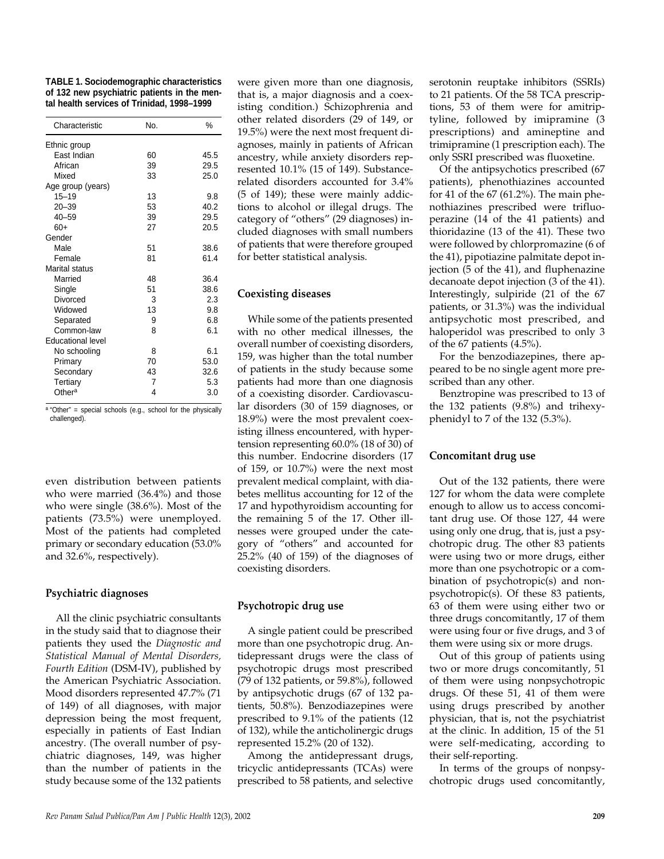| <b>TABLE 1. Sociodemographic characteristics</b> |
|--------------------------------------------------|
| of 132 new psychiatric patients in the men-      |
| tal health services of Trinidad, 1998-1999       |

| Characteristic           | No. | %    |
|--------------------------|-----|------|
| Ethnic group             |     |      |
| East Indian              | 60  | 45.5 |
| African                  | 39  | 29.5 |
| Mixed                    | 33  | 25.0 |
| Age group (years)        |     |      |
| $15 - 19$                | 13  | 9.8  |
| $20 - 39$                | 53  | 40.2 |
| $40 - 59$                | 39  | 29.5 |
| $60+$                    | 27  | 20.5 |
| Gender                   |     |      |
| Male                     | 51  | 38.6 |
| Female                   | 81  | 61.4 |
| Marital status           |     |      |
| Married                  | 48  | 36.4 |
| Single                   | 51  | 38.6 |
| Divorced                 | 3   | 2.3  |
| Widowed                  | 13  | 9.8  |
| Separated                | 9   | 6.8  |
| Common-law               | 8   | 6.1  |
| <b>Educational level</b> |     |      |
| No schooling             | 8   | 6.1  |
| Primary                  | 70  | 53.0 |
| Secondary                | 43  | 32.6 |
| Tertiary                 | 7   | 5.3  |
| Other <sup>a</sup>       | 4   | 3.0  |

 $a$  "Other" = special schools (e.g., school for the physically challenged).

even distribution between patients who were married (36.4%) and those who were single (38.6%). Most of the patients (73.5%) were unemployed. Most of the patients had completed primary or secondary education (53.0% and 32.6%, respectively).

## **Psychiatric diagnoses**

All the clinic psychiatric consultants in the study said that to diagnose their patients they used the *Diagnostic and Statistical Manual of Mental Disorders, Fourth Edition* (DSM-IV), published by the American Psychiatric Association. Mood disorders represented 47.7% (71 of 149) of all diagnoses, with major depression being the most frequent, especially in patients of East Indian ancestry. (The overall number of psychiatric diagnoses, 149, was higher than the number of patients in the study because some of the 132 patients

were given more than one diagnosis, that is, a major diagnosis and a coexisting condition.) Schizophrenia and other related disorders (29 of 149, or 19.5%) were the next most frequent diagnoses, mainly in patients of African ancestry, while anxiety disorders represented 10.1% (15 of 149). Substancerelated disorders accounted for 3.4% (5 of 149); these were mainly addictions to alcohol or illegal drugs. The category of "others" (29 diagnoses) included diagnoses with small numbers of patients that were therefore grouped for better statistical analysis.

## **Coexisting diseases**

While some of the patients presented with no other medical illnesses, the overall number of coexisting disorders, 159, was higher than the total number of patients in the study because some patients had more than one diagnosis of a coexisting disorder. Cardiovascular disorders (30 of 159 diagnoses, or 18.9%) were the most prevalent coexisting illness encountered, with hypertension representing 60.0% (18 of 30) of this number. Endocrine disorders (17 of 159, or 10.7%) were the next most prevalent medical complaint, with diabetes mellitus accounting for 12 of the 17 and hypothyroidism accounting for the remaining 5 of the 17. Other illnesses were grouped under the category of "others" and accounted for 25.2% (40 of 159) of the diagnoses of coexisting disorders.

## **Psychotropic drug use**

A single patient could be prescribed more than one psychotropic drug. Antidepressant drugs were the class of psychotropic drugs most prescribed (79 of 132 patients, or 59.8%), followed by antipsychotic drugs (67 of 132 patients, 50.8%). Benzodiazepines were prescribed to 9.1% of the patients (12 of 132), while the anticholinergic drugs represented 15.2% (20 of 132).

Among the antidepressant drugs, tricyclic antidepressants (TCAs) were prescribed to 58 patients, and selective serotonin reuptake inhibitors (SSRIs) to 21 patients. Of the 58 TCA prescriptions, 53 of them were for amitriptyline, followed by imipramine (3 prescriptions) and amineptine and trimipramine (1 prescription each). The only SSRI prescribed was fluoxetine.

Of the antipsychotics prescribed (67 patients), phenothiazines accounted for 41 of the 67 (61.2%). The main phenothiazines prescribed were trifluoperazine (14 of the 41 patients) and thioridazine (13 of the 41). These two were followed by chlorpromazine (6 of the 41), pipotiazine palmitate depot injection (5 of the 41), and fluphenazine decanoate depot injection (3 of the 41). Interestingly, sulpiride (21 of the 67 patients, or 31.3%) was the individual antipsychotic most prescribed, and haloperidol was prescribed to only 3 of the 67 patients (4.5%).

For the benzodiazepines, there appeared to be no single agent more prescribed than any other.

Benztropine was prescribed to 13 of the 132 patients (9.8%) and trihexyphenidyl to 7 of the 132 (5.3%).

## **Concomitant drug use**

Out of the 132 patients, there were 127 for whom the data were complete enough to allow us to access concomitant drug use. Of those 127, 44 were using only one drug, that is, just a psychotropic drug. The other 83 patients were using two or more drugs, either more than one psychotropic or a combination of psychotropic(s) and nonpsychotropic(s). Of these 83 patients, 63 of them were using either two or three drugs concomitantly, 17 of them were using four or five drugs, and 3 of them were using six or more drugs.

Out of this group of patients using two or more drugs concomitantly, 51 of them were using nonpsychotropic drugs. Of these 51, 41 of them were using drugs prescribed by another physician, that is, not the psychiatrist at the clinic. In addition, 15 of the 51 were self-medicating, according to their self-reporting.

In terms of the groups of nonpsychotropic drugs used concomitantly,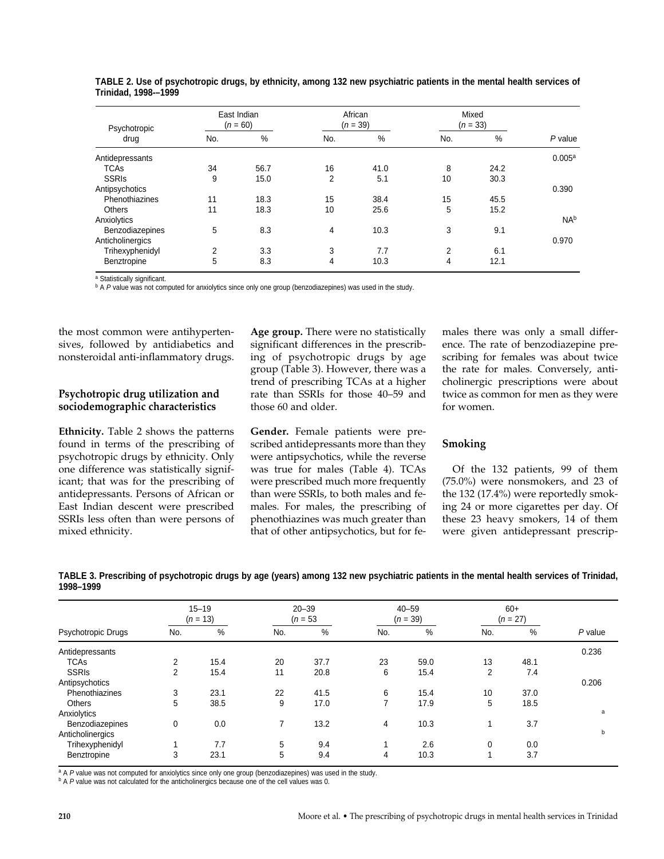| Psychotropic<br>drug | East Indian<br>$(n = 60)$ |      | African<br>$(n = 39)$ |      | Mixed<br>$(n = 33)$ |      |                    |
|----------------------|---------------------------|------|-----------------------|------|---------------------|------|--------------------|
|                      | No.                       | %    | No.                   | %    | No.                 | %    | $P$ value          |
| Antidepressants      |                           |      |                       |      |                     |      | 0.005 <sup>a</sup> |
| <b>TCAs</b>          | 34                        | 56.7 | 16                    | 41.0 | 8                   | 24.2 |                    |
| <b>SSRIS</b>         | 9                         | 15.0 | 2                     | 5.1  | 10                  | 30.3 |                    |
| Antipsychotics       |                           |      |                       |      |                     |      | 0.390              |
| Phenothiazines       | 11                        | 18.3 | 15                    | 38.4 | 15                  | 45.5 |                    |
| <b>Others</b>        | 11                        | 18.3 | 10                    | 25.6 | 5                   | 15.2 |                    |
| Anxiolytics          |                           |      |                       |      |                     |      | N <sub>Ab</sub>    |
| Benzodiazepines      | 5                         | 8.3  | $\overline{4}$        | 10.3 | 3                   | 9.1  |                    |
| Anticholinergics     |                           |      |                       |      |                     |      | 0.970              |
| Trihexyphenidyl      | 2                         | 3.3  | 3                     | 7.7  | 2                   | 6.1  |                    |
| Benztropine          | 5                         | 8.3  | $\overline{4}$        | 10.3 | 4                   | 12.1 |                    |

**TABLE 2. Use of psychotropic drugs, by ethnicity, among 132 new psychiatric patients in the mental health services of Trinidad, 1998-–1999** 

a Statistically significant.

**b A P value was not computed for anxiolytics since only one group (benzodiazepines) was used in the study.** 

the most common were antihypertensives, followed by antidiabetics and nonsteroidal anti-inflammatory drugs.

#### **Psychotropic drug utilization and sociodemographic characteristics**

**Ethnicity.** Table 2 shows the patterns found in terms of the prescribing of psychotropic drugs by ethnicity. Only one difference was statistically significant; that was for the prescribing of antidepressants. Persons of African or East Indian descent were prescribed SSRIs less often than were persons of mixed ethnicity.

**Age group.** There were no statistically significant differences in the prescribing of psychotropic drugs by age group (Table 3). However, there was a trend of prescribing TCAs at a higher rate than SSRIs for those 40–59 and those 60 and older.

**Gender.** Female patients were prescribed antidepressants more than they were antipsychotics, while the reverse was true for males (Table 4). TCAs were prescribed much more frequently than were SSRIs, to both males and females. For males, the prescribing of phenothiazines was much greater than that of other antipsychotics, but for females there was only a small difference. The rate of benzodiazepine prescribing for females was about twice the rate for males. Conversely, anticholinergic prescriptions were about twice as common for men as they were for women.

#### **Smoking**

Of the 132 patients, 99 of them (75.0%) were nonsmokers, and 23 of the 132 (17.4%) were reportedly smoking 24 or more cigarettes per day. Of these 23 heavy smokers, 14 of them were given antidepressant prescrip-

|                    |     | $15 - 19$<br>$(n = 13)$ |     | $20 - 39$<br>$(n = 53)$ |     | $40 - 59$<br>$(n = 39)$ |     | $60+$<br>$(n = 27)$ |           |
|--------------------|-----|-------------------------|-----|-------------------------|-----|-------------------------|-----|---------------------|-----------|
| Psychotropic Drugs | No. | $\%$                    | No. | %                       | No. | %                       | No. | %                   | $P$ value |
| Antidepressants    |     |                         |     |                         |     |                         |     |                     | 0.236     |
| <b>TCAs</b>        | 2   | 15.4                    | 20  | 37.7                    | 23  | 59.0                    | 13  | 48.1                |           |
| <b>SSRIs</b>       | 2   | 15.4                    | 11  | 20.8                    | 6   | 15.4                    | 2   | 7.4                 |           |
| Antipsychotics     |     |                         |     |                         |     |                         |     |                     | 0.206     |
| Phenothiazines     | 3   | 23.1                    | 22  | 41.5                    | 6   | 15.4                    | 10  | 37.0                |           |
| <b>Others</b>      | 5   | 38.5                    | 9   | 17.0                    | ⇁   | 17.9                    | 5   | 18.5                |           |
| Anxiolytics        |     |                         |     |                         |     |                         |     |                     | a         |
| Benzodiazepines    | 0   | 0.0                     | 7   | 13.2                    | 4   | 10.3                    |     | 3.7                 |           |
| Anticholinergics   |     |                         |     |                         |     |                         |     |                     | b         |
| Trihexyphenidyl    |     | 7.7                     | 5   | 9.4                     |     | 2.6                     | 0   | 0.0                 |           |
| Benztropine        | 3   | 23.1                    | 5   | 9.4                     | 4   | 10.3                    |     | 3.7                 |           |

**TABLE 3. Prescribing of psychotropic drugs by age (years) among 132 new psychiatric patients in the mental health services of Trinidad, 1998–1999**

<sup>a</sup> A P value was not computed for anxiolytics since only one group (benzodiazepines) was used in the study. b A P value was not calculated for the anticholinergics because one of the cell values was 0.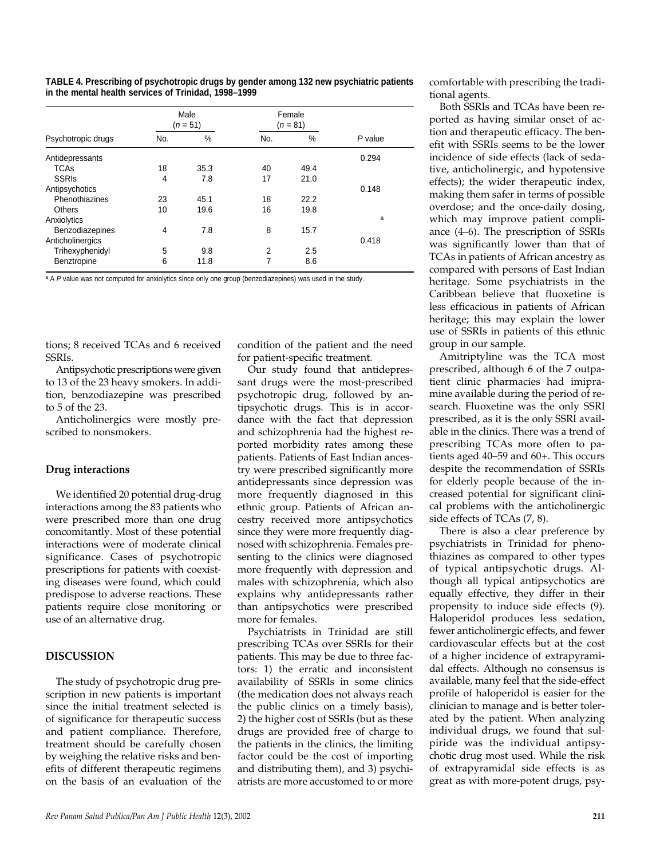|  | TABLE 4. Prescribing of psychotropic drugs by gender among 132 new psychiatric patients |  |  |  |
|--|-----------------------------------------------------------------------------------------|--|--|--|
|  | in the mental health services of Trinidad. 1998–1999                                    |  |  |  |

|                    | Male<br>Female<br>$(n = 81)$<br>$(n = 51)$ |      |     |      |           |
|--------------------|--------------------------------------------|------|-----|------|-----------|
| Psychotropic drugs | No.                                        | %    | No. | %    | $P$ value |
| Antidepressants    |                                            |      |     |      | 0.294     |
| <b>TCAs</b>        | 18                                         | 35.3 | 40  | 49.4 |           |
| <b>SSRIs</b>       | 4                                          | 7.8  | 17  | 21.0 |           |
| Antipsychotics     |                                            |      |     |      | 0.148     |
| Phenothiazines     | 23                                         | 45.1 | 18  | 22.2 |           |
| <b>Others</b>      | 10                                         | 19.6 | 16  | 19.8 |           |
| Anxiolytics        |                                            |      |     |      | a         |
| Benzodiazepines    | 4                                          | 7.8  | 8   | 15.7 |           |
| Anticholinergics   |                                            |      |     |      | 0.418     |
| Trihexyphenidyl    | 5                                          | 9.8  | 2   | 2.5  |           |
| Benztropine        | 6                                          | 11.8 | 7   | 8.6  |           |

a A P value was not computed for anxiolytics since only one group (benzodiazepines) was used in the study.

tions; 8 received TCAs and 6 received SSRIs.

Antipsychotic prescriptions were given to 13 of the 23 heavy smokers. In addition, benzodiazepine was prescribed to 5 of the 23.

Anticholinergics were mostly prescribed to nonsmokers.

#### **Drug interactions**

We identified 20 potential drug-drug interactions among the 83 patients who were prescribed more than one drug concomitantly. Most of these potential interactions were of moderate clinical significance. Cases of psychotropic prescriptions for patients with coexisting diseases were found, which could predispose to adverse reactions. These patients require close monitoring or use of an alternative drug.

#### **DISCUSSION**

The study of psychotropic drug prescription in new patients is important since the initial treatment selected is of significance for therapeutic success and patient compliance. Therefore, treatment should be carefully chosen by weighing the relative risks and benefits of different therapeutic regimens on the basis of an evaluation of the

condition of the patient and the need for patient-specific treatment.

Our study found that antidepressant drugs were the most-prescribed psychotropic drug, followed by antipsychotic drugs. This is in accordance with the fact that depression and schizophrenia had the highest reported morbidity rates among these patients. Patients of East Indian ancestry were prescribed significantly more antidepressants since depression was more frequently diagnosed in this ethnic group. Patients of African ancestry received more antipsychotics since they were more frequently diagnosed with schizophrenia. Females presenting to the clinics were diagnosed more frequently with depression and males with schizophrenia, which also explains why antidepressants rather than antipsychotics were prescribed more for females.

Psychiatrists in Trinidad are still prescribing TCAs over SSRIs for their patients. This may be due to three factors: 1) the erratic and inconsistent availability of SSRIs in some clinics (the medication does not always reach the public clinics on a timely basis), 2) the higher cost of SSRIs (but as these drugs are provided free of charge to the patients in the clinics, the limiting factor could be the cost of importing and distributing them), and 3) psychiatrists are more accustomed to or more

comfortable with prescribing the traditional agents.

Both SSRIs and TCAs have been reported as having similar onset of action and therapeutic efficacy. The benefit with SSRIs seems to be the lower incidence of side effects (lack of sedative, anticholinergic, and hypotensive effects); the wider therapeutic index, making them safer in terms of possible overdose; and the once-daily dosing, which may improve patient compliance (4–6). The prescription of SSRIs was significantly lower than that of TCAs in patients of African ancestry as compared with persons of East Indian heritage. Some psychiatrists in the Caribbean believe that fluoxetine is less efficacious in patients of African heritage; this may explain the lower use of SSRIs in patients of this ethnic group in our sample.

Amitriptyline was the TCA most prescribed, although 6 of the 7 outpatient clinic pharmacies had imipramine available during the period of research. Fluoxetine was the only SSRI prescribed, as it is the only SSRI available in the clinics. There was a trend of prescribing TCAs more often to patients aged 40–59 and 60+. This occurs despite the recommendation of SSRIs for elderly people because of the increased potential for significant clinical problems with the anticholinergic side effects of TCAs (7, 8).

There is also a clear preference by psychiatrists in Trinidad for phenothiazines as compared to other types of typical antipsychotic drugs. Although all typical antipsychotics are equally effective, they differ in their propensity to induce side effects (9). Haloperidol produces less sedation, fewer anticholinergic effects, and fewer cardiovascular effects but at the cost of a higher incidence of extrapyramidal effects. Although no consensus is available, many feel that the side-effect profile of haloperidol is easier for the clinician to manage and is better tolerated by the patient. When analyzing individual drugs, we found that sulpiride was the individual antipsychotic drug most used. While the risk of extrapyramidal side effects is as great as with more-potent drugs, psy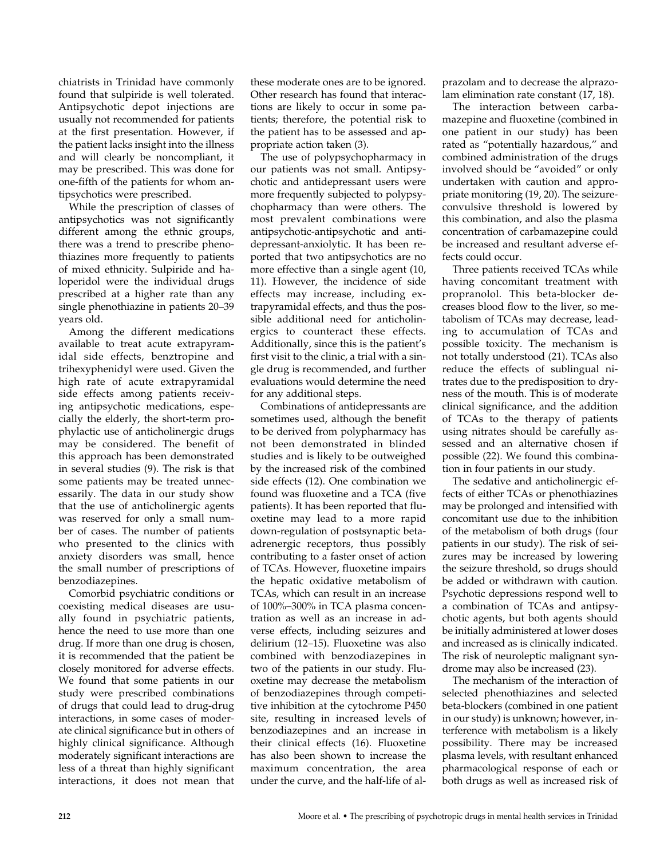chiatrists in Trinidad have commonly found that sulpiride is well tolerated. Antipsychotic depot injections are usually not recommended for patients at the first presentation. However, if the patient lacks insight into the illness and will clearly be noncompliant, it may be prescribed. This was done for one-fifth of the patients for whom antipsychotics were prescribed.

While the prescription of classes of antipsychotics was not significantly different among the ethnic groups, there was a trend to prescribe phenothiazines more frequently to patients of mixed ethnicity. Sulpiride and haloperidol were the individual drugs prescribed at a higher rate than any single phenothiazine in patients 20–39 years old.

Among the different medications available to treat acute extrapyramidal side effects, benztropine and trihexyphenidyl were used. Given the high rate of acute extrapyramidal side effects among patients receiving antipsychotic medications, especially the elderly, the short-term prophylactic use of anticholinergic drugs may be considered. The benefit of this approach has been demonstrated in several studies (9). The risk is that some patients may be treated unnecessarily. The data in our study show that the use of anticholinergic agents was reserved for only a small number of cases. The number of patients who presented to the clinics with anxiety disorders was small, hence the small number of prescriptions of benzodiazepines.

Comorbid psychiatric conditions or coexisting medical diseases are usually found in psychiatric patients, hence the need to use more than one drug. If more than one drug is chosen, it is recommended that the patient be closely monitored for adverse effects. We found that some patients in our study were prescribed combinations of drugs that could lead to drug-drug interactions, in some cases of moderate clinical significance but in others of highly clinical significance. Although moderately significant interactions are less of a threat than highly significant interactions, it does not mean that

these moderate ones are to be ignored. Other research has found that interactions are likely to occur in some patients; therefore, the potential risk to the patient has to be assessed and appropriate action taken (3).

The use of polypsychopharmacy in our patients was not small. Antipsychotic and antidepressant users were more frequently subjected to polypsychopharmacy than were others. The most prevalent combinations were antipsychotic-antipsychotic and antidepressant-anxiolytic. It has been reported that two antipsychotics are no more effective than a single agent (10, 11). However, the incidence of side effects may increase, including extrapyramidal effects, and thus the possible additional need for anticholinergics to counteract these effects. Additionally, since this is the patient's first visit to the clinic, a trial with a single drug is recommended, and further evaluations would determine the need for any additional steps.

Combinations of antidepressants are sometimes used, although the benefit to be derived from polypharmacy has not been demonstrated in blinded studies and is likely to be outweighed by the increased risk of the combined side effects (12). One combination we found was fluoxetine and a TCA (five patients). It has been reported that fluoxetine may lead to a more rapid down-regulation of postsynaptic betaadrenergic receptors, thus possibly contributing to a faster onset of action of TCAs. However, fluoxetine impairs the hepatic oxidative metabolism of TCAs, which can result in an increase of 100%–300% in TCA plasma concentration as well as an increase in adverse effects, including seizures and delirium (12–15). Fluoxetine was also combined with benzodiazepines in two of the patients in our study. Fluoxetine may decrease the metabolism of benzodiazepines through competitive inhibition at the cytochrome P450 site, resulting in increased levels of benzodiazepines and an increase in their clinical effects (16). Fluoxetine has also been shown to increase the maximum concentration, the area under the curve, and the half-life of alprazolam and to decrease the alprazolam elimination rate constant (17, 18).

The interaction between carbamazepine and fluoxetine (combined in one patient in our study) has been rated as "potentially hazardous," and combined administration of the drugs involved should be "avoided" or only undertaken with caution and appropriate monitoring (19, 20). The seizureconvulsive threshold is lowered by this combination, and also the plasma concentration of carbamazepine could be increased and resultant adverse effects could occur.

Three patients received TCAs while having concomitant treatment with propranolol. This beta-blocker decreases blood flow to the liver, so metabolism of TCAs may decrease, leading to accumulation of TCAs and possible toxicity. The mechanism is not totally understood (21). TCAs also reduce the effects of sublingual nitrates due to the predisposition to dryness of the mouth. This is of moderate clinical significance, and the addition of TCAs to the therapy of patients using nitrates should be carefully assessed and an alternative chosen if possible (22). We found this combination in four patients in our study.

The sedative and anticholinergic effects of either TCAs or phenothiazines may be prolonged and intensified with concomitant use due to the inhibition of the metabolism of both drugs (four patients in our study). The risk of seizures may be increased by lowering the seizure threshold, so drugs should be added or withdrawn with caution. Psychotic depressions respond well to a combination of TCAs and antipsychotic agents, but both agents should be initially administered at lower doses and increased as is clinically indicated. The risk of neuroleptic malignant syndrome may also be increased (23).

The mechanism of the interaction of selected phenothiazines and selected beta-blockers (combined in one patient in our study) is unknown; however, interference with metabolism is a likely possibility. There may be increased plasma levels, with resultant enhanced pharmacological response of each or both drugs as well as increased risk of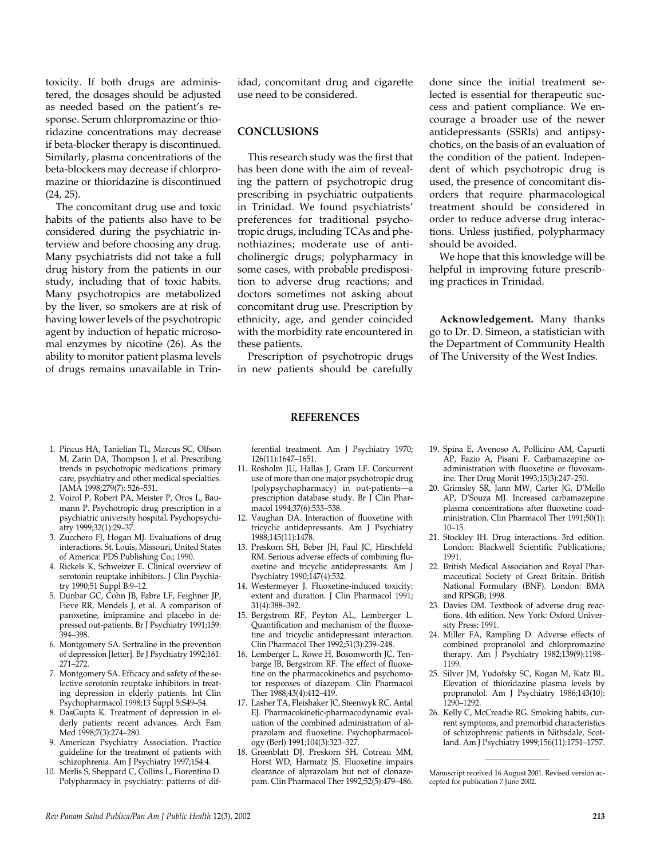toxicity. If both drugs are administered, the dosages should be adjusted as needed based on the patient's response. Serum chlorpromazine or thioridazine concentrations may decrease if beta-blocker therapy is discontinued. Similarly, plasma concentrations of the beta-blockers may decrease if chlorpromazine or thioridazine is discontinued (24, 25).

The concomitant drug use and toxic habits of the patients also have to be considered during the psychiatric interview and before choosing any drug. Many psychiatrists did not take a full drug history from the patients in our study, including that of toxic habits. Many psychotropics are metabolized by the liver, so smokers are at risk of having lower levels of the psychotropic agent by induction of hepatic microsomal enzymes by nicotine (26). As the ability to monitor patient plasma levels of drugs remains unavailable in Trinidad, concomitant drug and cigarette use need to be considered.

## **CONCLUSIONS**

This research study was the first that has been done with the aim of revealing the pattern of psychotropic drug prescribing in psychiatric outpatients in Trinidad. We found psychiatrists' preferences for traditional psychotropic drugs, including TCAs and phenothiazines; moderate use of anticholinergic drugs; polypharmacy in some cases, with probable predisposition to adverse drug reactions; and doctors sometimes not asking about concomitant drug use. Prescription by ethnicity, age, and gender coincided with the morbidity rate encountered in these patients.

Prescription of psychotropic drugs in new patients should be carefully

**REFERENCES**

done since the initial treatment selected is essential for therapeutic success and patient compliance. We encourage a broader use of the newer antidepressants (SSRIs) and antipsychotics, on the basis of an evaluation of the condition of the patient. Independent of which psychotropic drug is used, the presence of concomitant disorders that require pharmacological treatment should be considered in order to reduce adverse drug interactions. Unless justified, polypharmacy should be avoided.

We hope that this knowledge will be helpful in improving future prescribing practices in Trinidad.

**Acknowledgement.** Many thanks go to Dr. D. Simeon, a statistician with the Department of Community Health of The University of the West Indies.

- 1. Pincus HA, Tanielian TL, Marcus SC, Olfson M, Zarin DA, Thompson J, et al. Prescribing trends in psychotropic medications: primary care, psychiatry and other medical specialties. JAMA 1998;279(7): 526–531.
- 2. Voirol P, Robert PA, Meister P, Oros L, Baumann P. Psychotropic drug prescription in a psychiatric university hospital. Psychopsychiatry 1999;32(1):29–37.
- 3. Zucchero FJ, Hogan MJ. Evaluations of drug interactions. St. Louis, Missouri, United States of America: PDS Publishing Co.; 1990.
- 4. Rickels K, Schweizer E. Clinical overview of serotonin reuptake inhibitors. J Clin Psychiatry 1990;51 Suppl B:9–12.
- 5. Dunbar GC, Cohn JB, Fabre LF, Feighner JP, Fieve RR, Mendels J, et al. A comparison of paroxetine, imipramine and placebo in depressed out-patients. Br J Psychiatry 1991;159: 394–398.
- 6. Montgomery SA. Sertraline in the prevention of depression [letter]. Br J Psychiatry 1992;161: 271–272.
- 7. Montgomery SA. Efficacy and safety of the selective serotonin reuptake inhibitors in treating depression in elderly patients. Int Clin Psychopharmacol 1998;13 Suppl 5:S49–54.
- 8. DasGupta K. Treatment of depression in elderly patients: recent advances. Arch Fam Med 1998;7(3):274–280.
- 9. American Psychiatry Association. Practice guideline for the treatment of patients with schizophrenia. Am J Psychiatry 1997;154:4.
- 10. Merlis S, Sheppard C, Collins L, Fiorentino D. Polypharmacy in psychiatry: patterns of dif-

ferential treatment. Am J Psychiatry 1970; 126(11):1647–1651.

- 11. Rosholm JU, Hallas J, Gram LF. Concurrent use of more than one major psychotropic drug (polypsychopharmacy) in out-patients—a prescription database study. Br J Clin Pharmacol 1994;37(6):533–538.
- 12. Vaughan DA. Interaction of fluoxetine with tricyclic antidepressants. Am J Psychiatry 1988;145(11):1478.
- 13. Preskorn SH, Beber JH, Faul JC, Hirschfeld RM. Serious adverse effects of combining fluoxetine and tricyclic antidepressants. Am J Psychiatry 1990;147(4):532.
- 14. Westermeyer J. Fluoxetine-induced toxicity: extent and duration. J Clin Pharmacol 1991; 31(4):388–392.
- 15. Bergstrom RF, Peyton AL, Lemberger L. Quantification and mechanism of the fluoxetine and tricyclic antidepressant interaction. Clin Pharmacol Ther 1992;51(3):239–248.
- 16. Lemberger L, Rowe H, Bosomworth JC, Tenbarge JB, Bergstrom RF. The effect of fluoxetine on the pharmacokinetics and psychomotor responses of diazepam. Clin Pharmacol Ther 1988;43(4):412–419.
- 17. Lasher TA, Fleishaker JC, Steenwyk RC, Antal EJ. Pharmacokinetic-pharmacodynamic evaluation of the combined administration of alprazolam and fluoxetine. Psychopharmacology (Berl) 1991;104(3):323–327.
- 18. Greenblatt DJ, Preskorn SH, Cotreau MM, Horst WD, Harmatz JS. Fluoxetine impairs clearance of alprazolam but not of clonazepam. Clin Pharmacol Ther 1992;52(5):479–486.
- 19. Spina E, Avenoso A, Pollicino AM, Capurti AP, Fazio A, Pisani F. Carbamazepine coadministration with fluoxetine or fluvoxamine. Ther Drug Monit 1993;15(3):247–250.
- 20. Grimsley SR, Jann MW, Carter JG, D'Mello AP, D'Souza MJ. Increased carbamazepine plasma concentrations after fluoxetine coadministration. Clin Pharmacol Ther 1991;50(1): 10–15.
- 21. Stockley IH. Drug interactions. 3rd edition. London: Blackwell Scientific Publications; 1991.
- 22. British Medical Association and Royal Pharmaceutical Society of Great Britain. British National Formulary (BNF). London: BMA and RPSGB; 1998.
- 23. Davies DM. Textbook of adverse drug reactions. 4th edition. New York: Oxford University Press; 1991.
- 24. Miller FA, Rampling D. Adverse effects of combined propranolol and chlorpromazine therapy. Am J Psychiatry 1982;139(9):1198– 1199.
- 25. Silver JM, Yudofsky SC, Kogan M, Katz BL. Elevation of thioridazine plasma levels by propranolol. Am J Psychiatry 1986;143(10): 1290–1292.
- 26. Kelly C, McCreadie RG. Smoking habits, current symptoms, and premorbid characteristics of schizophrenic patients in Nithsdale, Scotland. Am J Psychiatry 1999;156(11):1751–1757.

Manuscript received 16 August 2001. Revised version accepted for publication 7 June 2002.